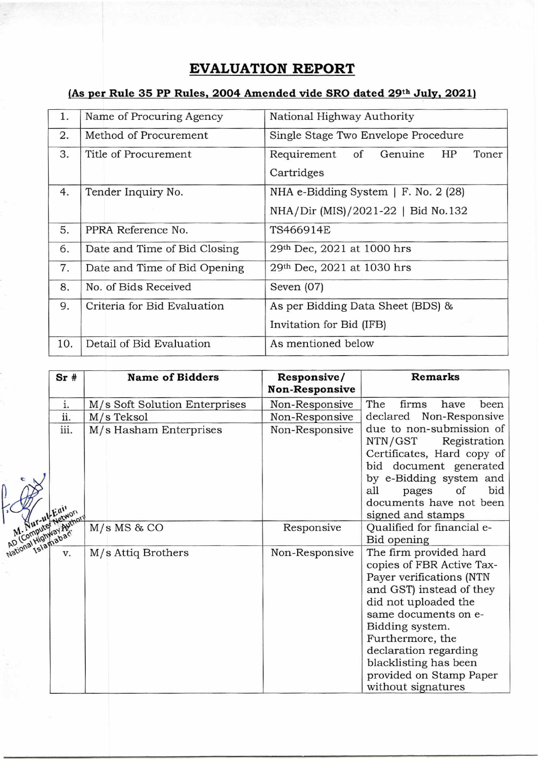## **EVALUATION REPORT**

## **(As per Rule 35 PP Rules, 2004 Amended vide SRO dated 29th July, 2021)**

| 1.  | Name of Procuring Agency     | National Highway Authority                                                      |  |  |  |
|-----|------------------------------|---------------------------------------------------------------------------------|--|--|--|
| 2.  | Method of Procurement        | Single Stage Two Envelope Procedure                                             |  |  |  |
| 3.  | Title of Procurement         | Requirement of Genuine<br>HP<br>Toner<br>Cartridges                             |  |  |  |
| 4.  | Tender Inquiry No.           | NHA e-Bidding System $\mid$ F. No. 2 (28)<br>NHA/Dir (MIS)/2021-22   Bid No.132 |  |  |  |
| 5.  | PPRA Reference No.           | TS466914E                                                                       |  |  |  |
| 6.  | Date and Time of Bid Closing | 29th Dec, 2021 at 1000 hrs                                                      |  |  |  |
| 7.  | Date and Time of Bid Opening | 29 <sup>th</sup> Dec, 2021 at 1030 hrs                                          |  |  |  |
| 8.  | No. of Bids Received         | Seven $(07)$                                                                    |  |  |  |
| 9.  | Criteria for Bid Evaluation  | As per Bidding Data Sheet (BDS) &                                               |  |  |  |
|     |                              | Invitation for Bid (IFB)                                                        |  |  |  |
| 10. | Detail of Bid Evaluation     | As mentioned below                                                              |  |  |  |

|      |                               | <b>Non-Responsive</b> | <b>Remarks</b>                                                                                                                                                                                                                                                                  |
|------|-------------------------------|-----------------------|---------------------------------------------------------------------------------------------------------------------------------------------------------------------------------------------------------------------------------------------------------------------------------|
| i.   | M/s Soft Solution Enterprises | Non-Responsive        | The<br>firms<br>have<br>been                                                                                                                                                                                                                                                    |
| ii.  | M/s Teksol                    | Non-Responsive        | declared Non-Responsive                                                                                                                                                                                                                                                         |
| iii. | M/s Hasham Enterprises        | Non-Responsive        | due to non-submission of<br>NTN/GST<br>Registration<br>Certificates, Hard copy of<br>bid document generated<br>by e-Bidding system and<br>bid<br>all<br>of<br>pages<br>documents have not been<br>signed and stamps                                                             |
|      | $M/s$ MS & CO                 | Responsive            | Qualified for financial e-<br>Bid opening                                                                                                                                                                                                                                       |
|      | M/s Attiq Brothers            | Non-Responsive        | The firm provided hard<br>copies of FBR Active Tax-<br>Payer verifications (NTN<br>and GST) instead of they<br>did not uploaded the<br>same documents on e-<br>Bidding system.<br>Furthermore, the<br>declaration regarding<br>blacklisting has been<br>provided on Stamp Paper |
|      |                               | N. Nur-uk Ketwort     |                                                                                                                                                                                                                                                                                 |